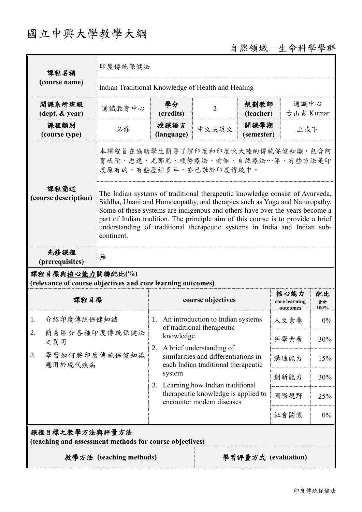# 國立中興大學教學大綱

# 自然領域-生命科學學群

| 課程名稱                                                                            | 印度傳統保健法                                                                                                                                                                                                                                                                                                                                                                                                                   |                                                                                                                                                                                                                                                   |                   |                    |                                   |                   |  |
|---------------------------------------------------------------------------------|---------------------------------------------------------------------------------------------------------------------------------------------------------------------------------------------------------------------------------------------------------------------------------------------------------------------------------------------------------------------------------------------------------------------------|---------------------------------------------------------------------------------------------------------------------------------------------------------------------------------------------------------------------------------------------------|-------------------|--------------------|-----------------------------------|-------------------|--|
| (course name)                                                                   | Indian Traditional Knowledge of Health and Healing                                                                                                                                                                                                                                                                                                                                                                        |                                                                                                                                                                                                                                                   |                   |                    |                                   |                   |  |
| 開課系所班級<br>$(\text{dept.} \& \text{ year})$                                      | 通識教育中心                                                                                                                                                                                                                                                                                                                                                                                                                    | 學分<br>(credits)                                                                                                                                                                                                                                   | $\overline{2}$    | 規劃教師<br>(teacher)  |                                   | 通識中心<br>古山吉 Kumar |  |
| 課程類別<br>(course type)                                                           | 必修                                                                                                                                                                                                                                                                                                                                                                                                                        | 授課語言<br>(language)                                                                                                                                                                                                                                | 中文或英文             | 開課學期<br>(semester) | 上或下                               |                   |  |
|                                                                                 | 本課程旨在協助學生簡要了解印度和印度次大陸的傳統保健知識,包含阿<br>育吠陀、悉達、尤那尼、順勢療法、瑜伽、自然療法…等,有些方法是印<br>度原有的,有些歷經多年,亦已融於印度傳統中。                                                                                                                                                                                                                                                                                                                            |                                                                                                                                                                                                                                                   |                   |                    |                                   |                   |  |
| 課程簡述<br>(course description)                                                    | The Indian systems of traditional therapeutic knowledge consist of Ayurveda,<br>Siddha, Unani and Homoeopathy, and therapies such as Yoga and Naturopathy.<br>Some of these systems are indigenous and others have over the years become a<br>part of Indian tradition. The principle aim of this course is to provide a brief<br>understanding of traditional therapeutic systems in India and Indian sub-<br>continent. |                                                                                                                                                                                                                                                   |                   |                    |                                   |                   |  |
| 先修課程<br>(prerequisites)                                                         | 無                                                                                                                                                                                                                                                                                                                                                                                                                         |                                                                                                                                                                                                                                                   |                   |                    |                                   |                   |  |
| 課程目標與核心能力關聯配比(%)<br>(relevance of course objectives and core learning outcomes) |                                                                                                                                                                                                                                                                                                                                                                                                                           |                                                                                                                                                                                                                                                   |                   |                    |                                   |                   |  |
| 課程目標                                                                            |                                                                                                                                                                                                                                                                                                                                                                                                                           |                                                                                                                                                                                                                                                   | course objectives |                    | 核心能力<br>core learning<br>outcomes | 配比<br>合計<br>100%  |  |
| 介紹印度傳統保健知識<br>1.                                                                |                                                                                                                                                                                                                                                                                                                                                                                                                           | 1. An introduction to Indian systems<br>of traditional therapeutic                                                                                                                                                                                |                   |                    | 人文素養                              | $0\%$             |  |
| 2.<br>簡易區分各種印度傳統保健法<br>之異同<br>學習如何將印度傳統保健知識<br>3.<br>應用於現代疾病                    |                                                                                                                                                                                                                                                                                                                                                                                                                           | knowledge<br>A brief understanding of<br>2.<br>similarities and differentiations in<br>each Indian traditional therapeutic<br>system<br>Learning how Indian traditional<br>3.<br>therapeutic knowledge is applied to<br>encounter modern diseases |                   |                    | 科學素養                              | 30%               |  |
|                                                                                 |                                                                                                                                                                                                                                                                                                                                                                                                                           |                                                                                                                                                                                                                                                   |                   | 溝通能力               | 15%                               |                   |  |
|                                                                                 |                                                                                                                                                                                                                                                                                                                                                                                                                           |                                                                                                                                                                                                                                                   |                   |                    | 創新能力                              | 30%               |  |
|                                                                                 |                                                                                                                                                                                                                                                                                                                                                                                                                           |                                                                                                                                                                                                                                                   |                   | 國際視野               | 25%                               |                   |  |
|                                                                                 |                                                                                                                                                                                                                                                                                                                                                                                                                           |                                                                                                                                                                                                                                                   |                   | 社會關懷               | $0\%$                             |                   |  |
| 課程目標之教學方法與評量方法<br>(teaching and assessment methods for course objectives)       |                                                                                                                                                                                                                                                                                                                                                                                                                           |                                                                                                                                                                                                                                                   |                   |                    |                                   |                   |  |
| 教學方法 (teaching methods)<br>學習評量方式 (evaluation)                                  |                                                                                                                                                                                                                                                                                                                                                                                                                           |                                                                                                                                                                                                                                                   |                   |                    |                                   |                   |  |
|                                                                                 |                                                                                                                                                                                                                                                                                                                                                                                                                           |                                                                                                                                                                                                                                                   |                   |                    |                                   |                   |  |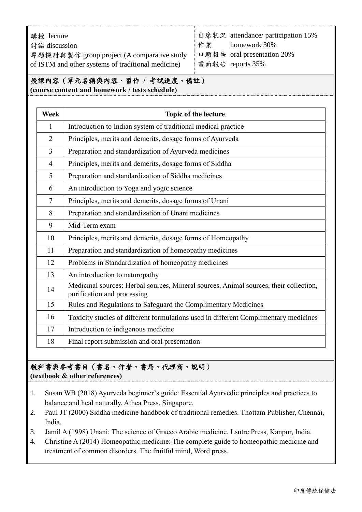講授 lecture 討論 discussion 專題探討與案作 group project (A comparative study of ISTM and other systems of traditional medicine) 出席狀況 attendance/ participation 15% 作業 homework 30% 口頭報告 oral presentation 20% 書面報告 reports 35%

#### 授課內容(單元名稱與內容、習作 **/** 考試進度、備註) **(course content and homework / tests schedule)**

| <b>Week</b>    | Topic of the lecture                                                                                                 |  |  |  |
|----------------|----------------------------------------------------------------------------------------------------------------------|--|--|--|
| 1              | Introduction to Indian system of traditional medical practice                                                        |  |  |  |
| $\overline{2}$ | Principles, merits and demerits, dosage forms of Ayurveda                                                            |  |  |  |
| $\overline{3}$ | Preparation and standardization of Ayurveda medicines                                                                |  |  |  |
| $\overline{4}$ | Principles, merits and demerits, dosage forms of Siddha                                                              |  |  |  |
| 5              | Preparation and standardization of Siddha medicines                                                                  |  |  |  |
| 6              | An introduction to Yoga and yogic science                                                                            |  |  |  |
| 7              | Principles, merits and demerits, dosage forms of Unani                                                               |  |  |  |
| 8              | Preparation and standardization of Unani medicines                                                                   |  |  |  |
| 9              | Mid-Term exam                                                                                                        |  |  |  |
| 10             | Principles, merits and demerits, dosage forms of Homeopathy                                                          |  |  |  |
| 11             | Preparation and standardization of homeopathy medicines                                                              |  |  |  |
| 12             | Problems in Standardization of homeopathy medicines                                                                  |  |  |  |
| 13             | An introduction to naturopathy                                                                                       |  |  |  |
| 14             | Medicinal sources: Herbal sources, Mineral sources, Animal sources, their collection,<br>purification and processing |  |  |  |
| 15             | Rules and Regulations to Safeguard the Complimentary Medicines                                                       |  |  |  |
| 16             | Toxicity studies of different formulations used in different Complimentary medicines                                 |  |  |  |
| 17             | Introduction to indigenous medicine                                                                                  |  |  |  |
| 18             | Final report submission and oral presentation                                                                        |  |  |  |

#### 教科書與參考書目(書名、作者、書局、代理商、說明) **(textbook & other references)**

- 1. Susan WB (2018) Ayurveda beginner's guide: Essential Ayurvedic principles and practices to balance and heal naturally. Athea Press, Singapore.
- 2. Paul JT (2000) Siddha medicine handbook of traditional remedies. Thottam Publisher, Chennai, India.
- 3. Jamil A (1998) Unani: The science of Graeco Arabic medicine. Lsutre Press, Kanpur, India.
- 4. Christine A (2014) Homeopathic medicine: The complete guide to homeopathic medicine and treatment of common disorders. The fruitful mind, Word press.